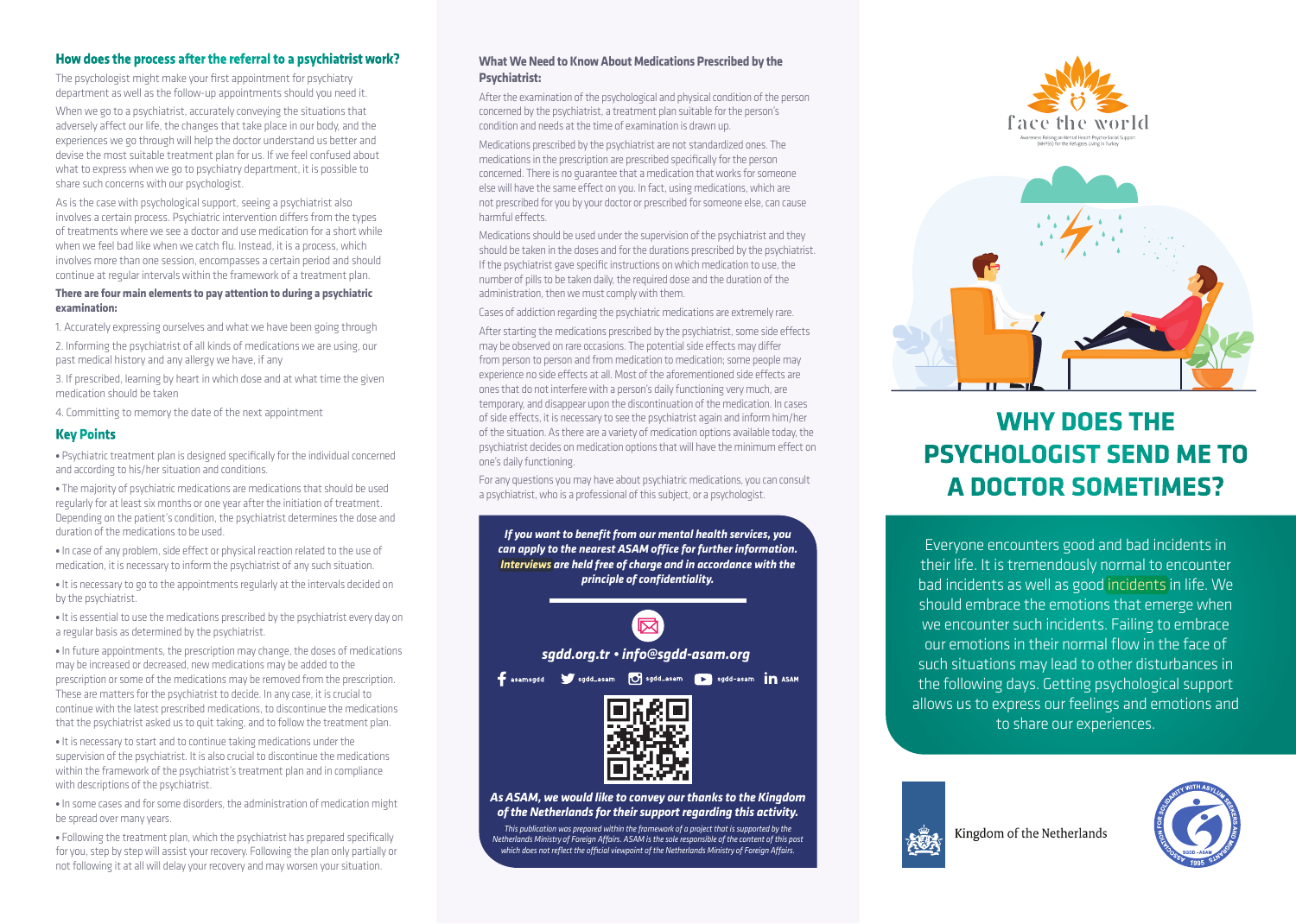### **How does the process after the referral to a psychiatrist work?**

The psychologist might make your first appointment for psychiatry department as well as the follow-up appointments should you need it.

When we go to a psychiatrist, accurately conveying the situations that adversely affect our life, the changes that take place in our body, and the experiences we go through will help the doctor understand us better and devise the most suitable treatment plan for us. If we feel confused about what to express when we go to psychiatry department, it is possible to share such concerns with our psychologist.

As is the case with psychological support, seeing a psychiatrist also involves a certain process. Psychiatric intervention differs from the types of treatments where we see a doctor and use medication for a short while when we feel bad like when we catch flu. Instead, it is a process, which involves more than one session, encompasses a certain period and should continue at regular intervals within the framework of a treatment plan.

#### **There are four main elements to pay attention to during a psychiatric examination:**

1. Accurately expressing ourselves and what we have been going through

2. Informing the psychiatrist of all kinds of medications we are using, our past medical history and any allergy we have, if any

3. If prescribed, learning by heart in which dose and at what time the given medication should be taken

4. Committing to memory the date of the next appointment

### **Key Points**

**•** Psychiatric treatment plan is designed specifically for the individual concerned and according to his/her situation and conditions.

**•** The majority of psychiatric medications are medications that should be used regularly for at least six months or one year after the initiation of treatment. Depending on the patient's condition, the psychiatrist determines the dose and duration of the medications to be used.

**•** In case of any problem, side effect or physical reaction related to the use of medication, it is necessary to inform the psychiatrist of any such situation.

**•** It is necessary to go to the appointments regularly at the intervals decided on by the psychiatrist.

**•** It is essential to use the medications prescribed by the psychiatrist every day on a regular basis as determined by the psychiatrist.

**•** In future appointments, the prescription may change, the doses of medications may be increased or decreased, new medications may be added to the prescription or some of the medications may be removed from the prescription. These are matters for the psychiatrist to decide. In any case, it is crucial to continue with the latest prescribed medications, to discontinue the medications that the psychiatrist asked us to quit taking, and to follow the treatment plan.

**•** It is necessary to start and to continue taking medications under the supervision of the psychiatrist. It is also crucial to discontinue the medications within the framework of the psychiatrist's treatment plan and in compliance with descriptions of the psychiatrist.

**•** In some cases and for some disorders, the administration of medication might be spread over many years.

• Following the treatment plan, which the psychiatrist has prepared specifically for you, step by step will assist your recovery. Following the plan only partially or not following it at all will delay your recovery and may worsen your situation.

### **What We Need to Know About Medications Prescribed by the Psychiatrist:**

After the examination of the psychological and physical condition of the person concerned by the psychiatrist, a treatment plan suitable for the person's condition and needs at the time of examination is drawn up.

Medications prescribed by the psychiatrist are not standardized ones. The medications in the prescription are prescribed specifically for the person concerned. There is no guarantee that a medication that works for someone else will have the same effect on you. In fact, using medications, which are not prescribed for you by your doctor or prescribed for someone else, can cause harmful effects.

Medications should be used under the supervision of the psychiatrist and they should be taken in the doses and for the durations prescribed by the psychiatrist. If the psychiatrist gave specific instructions on which medication to use, the number of pills to be taken daily, the required dose and the duration of the administration, then we must comply with them.

Cases of addiction regarding the psychiatric medications are extremely rare.

After starting the medications prescribed by the psychiatrist, some side effects may be observed on rare occasions. The potential side effects may differ from person to person and from medication to medication; some people may experience no side effects at all. Most of the aforementioned side effects are ones that do not interfere with a person's daily functioning very much, are temporary, and disappear upon the discontinuation of the medication. In cases of side effects, it is necessary to see the psychiatrist again and inform him/her of the situation. As there are a variety of medication options available today, the psychiatrist decides on medication options that will have the minimum effect on one's daily functioning.

For any questions you may have about psychiatric medications, you can consult a psychiatrist, who is a professional of this subject, or a psychologist.

*If you want to benefit from our mental health services, you can apply to the nearest ASAM office for further information. Interviews are held free of charge and in accordance with the principle of confidentiality.* 



Fasamsgdd Sydd\_asam O sgdd\_asam D sgdd-asam in ASAM



*As ASAM, we would like to convey our thanks to the Kingdom of the Netherlands for their support regarding this activity.*

*This publication was prepared within the framework of a project that is supported by the Netherlands Ministry of Foreign Affairs. ASAM is the sole responsible of the content of this post which does not reflect the official viewpoint of the Netherlands Ministry of Foreign Affairs.*





# **WHY DOES THE PSYCHOLOGIST SEND ME TO A DOCTOR SOMETIMES?**

Everyone encounters good and bad incidents in their life. It is tremendously normal to encounter bad incidents as well as good incidents in life. We should embrace the emotions that emerge when we encounter such incidents. Failing to embrace our emotions in their normal flow in the face of such situations may lead to other disturbances in the following days. Getting psychological support allows us to express our feelings and emotions and to share our experiences.